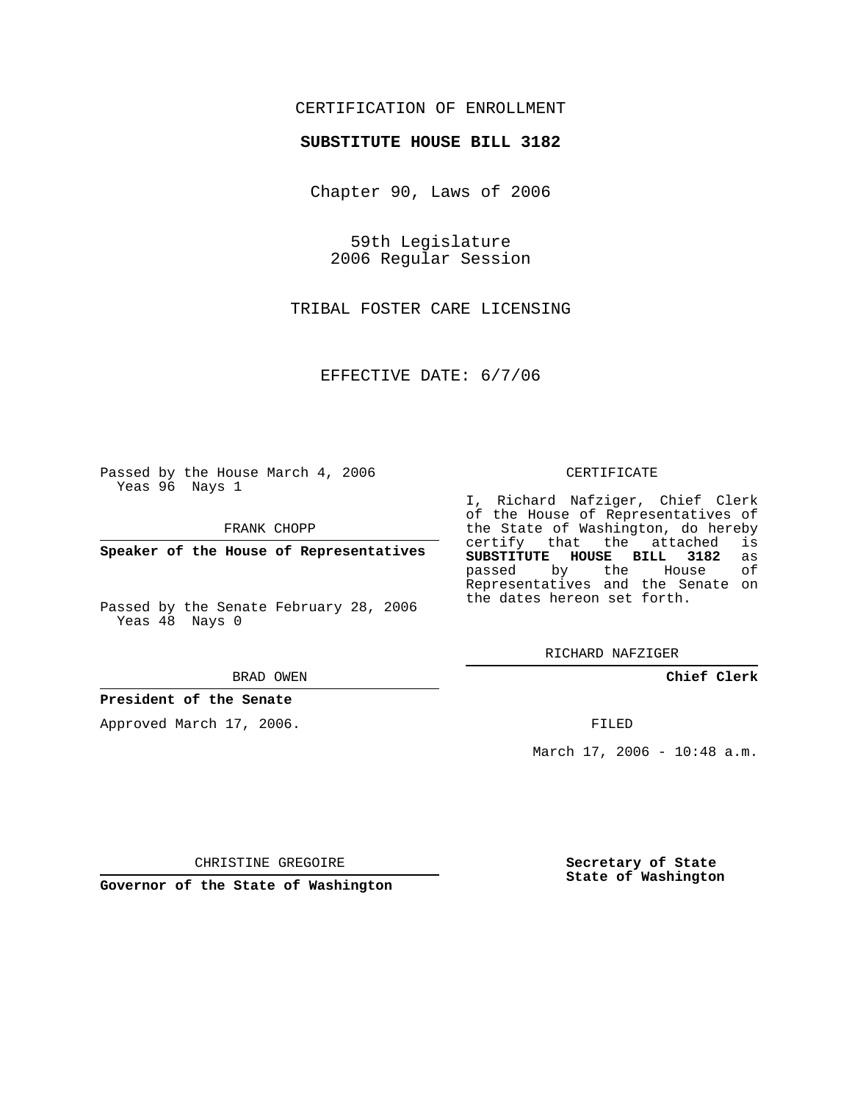## CERTIFICATION OF ENROLLMENT

## **SUBSTITUTE HOUSE BILL 3182**

Chapter 90, Laws of 2006

59th Legislature 2006 Regular Session

TRIBAL FOSTER CARE LICENSING

EFFECTIVE DATE: 6/7/06

Passed by the House March 4, 2006 Yeas 96 Nays 1

FRANK CHOPP

**Speaker of the House of Representatives**

Passed by the Senate February 28, 2006 Yeas 48 Nays 0

BRAD OWEN

## **President of the Senate**

Approved March 17, 2006.

CERTIFICATE

I, Richard Nafziger, Chief Clerk of the House of Representatives of the State of Washington, do hereby<br>certify that the attached is certify that the attached **SUBSTITUTE HOUSE BILL 3182** as passed by the House Representatives and the Senate on the dates hereon set forth.

RICHARD NAFZIGER

**Chief Clerk**

FILED

March 17, 2006 - 10:48 a.m.

CHRISTINE GREGOIRE

**Governor of the State of Washington**

**Secretary of State State of Washington**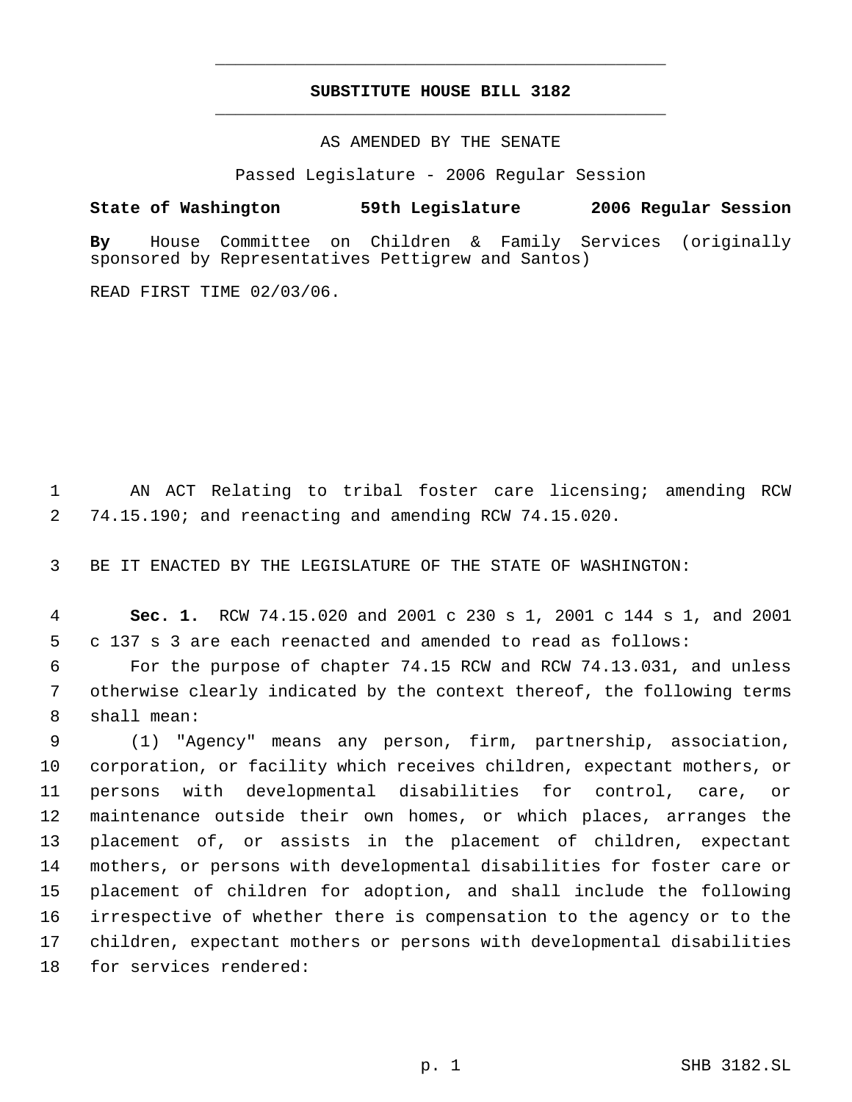## **SUBSTITUTE HOUSE BILL 3182** \_\_\_\_\_\_\_\_\_\_\_\_\_\_\_\_\_\_\_\_\_\_\_\_\_\_\_\_\_\_\_\_\_\_\_\_\_\_\_\_\_\_\_\_\_

\_\_\_\_\_\_\_\_\_\_\_\_\_\_\_\_\_\_\_\_\_\_\_\_\_\_\_\_\_\_\_\_\_\_\_\_\_\_\_\_\_\_\_\_\_

AS AMENDED BY THE SENATE

Passed Legislature - 2006 Regular Session

**State of Washington 59th Legislature 2006 Regular Session**

**By** House Committee on Children & Family Services (originally sponsored by Representatives Pettigrew and Santos)

READ FIRST TIME 02/03/06.

 AN ACT Relating to tribal foster care licensing; amending RCW 74.15.190; and reenacting and amending RCW 74.15.020.

BE IT ENACTED BY THE LEGISLATURE OF THE STATE OF WASHINGTON:

 **Sec. 1.** RCW 74.15.020 and 2001 c 230 s 1, 2001 c 144 s 1, and 2001 c 137 s 3 are each reenacted and amended to read as follows:

 For the purpose of chapter 74.15 RCW and RCW 74.13.031, and unless otherwise clearly indicated by the context thereof, the following terms shall mean:

 (1) "Agency" means any person, firm, partnership, association, corporation, or facility which receives children, expectant mothers, or persons with developmental disabilities for control, care, or maintenance outside their own homes, or which places, arranges the placement of, or assists in the placement of children, expectant mothers, or persons with developmental disabilities for foster care or placement of children for adoption, and shall include the following irrespective of whether there is compensation to the agency or to the children, expectant mothers or persons with developmental disabilities for services rendered: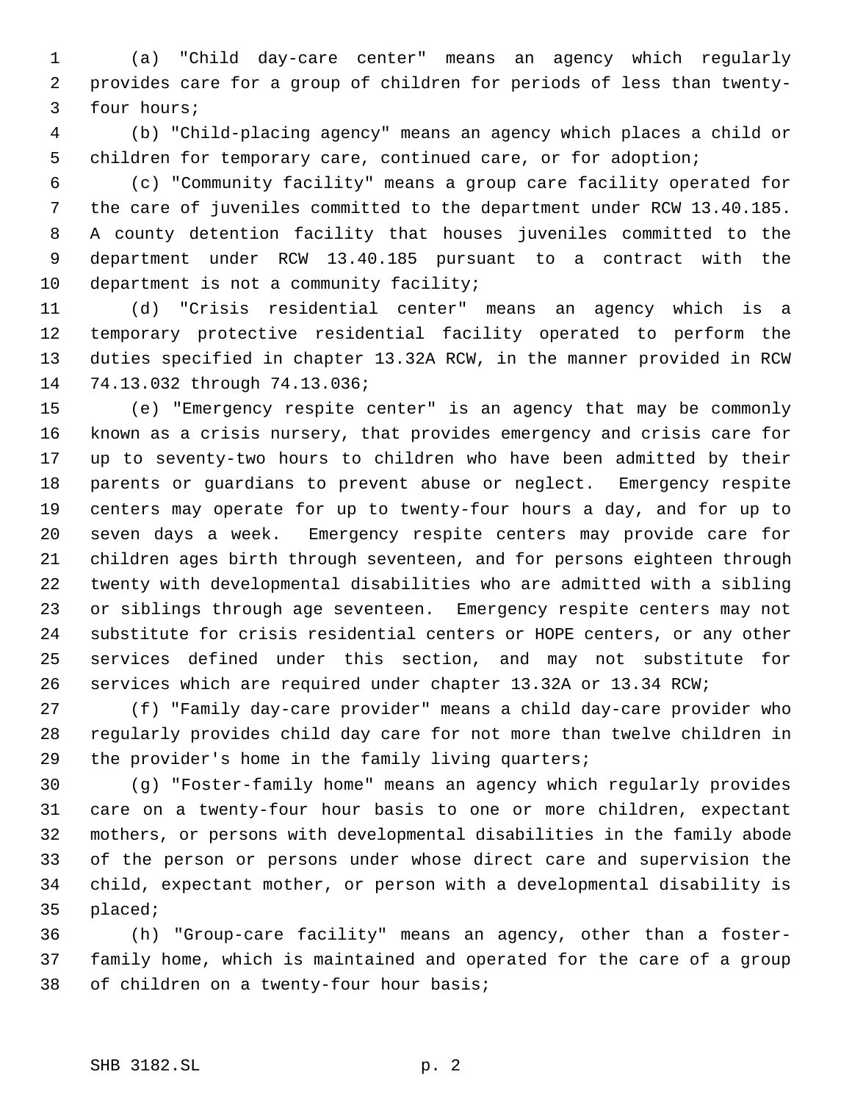(a) "Child day-care center" means an agency which regularly provides care for a group of children for periods of less than twenty- four hours;

 (b) "Child-placing agency" means an agency which places a child or children for temporary care, continued care, or for adoption;

 (c) "Community facility" means a group care facility operated for the care of juveniles committed to the department under RCW 13.40.185. A county detention facility that houses juveniles committed to the department under RCW 13.40.185 pursuant to a contract with the department is not a community facility;

 (d) "Crisis residential center" means an agency which is a temporary protective residential facility operated to perform the duties specified in chapter 13.32A RCW, in the manner provided in RCW 74.13.032 through 74.13.036;

 (e) "Emergency respite center" is an agency that may be commonly known as a crisis nursery, that provides emergency and crisis care for up to seventy-two hours to children who have been admitted by their parents or guardians to prevent abuse or neglect. Emergency respite centers may operate for up to twenty-four hours a day, and for up to seven days a week. Emergency respite centers may provide care for children ages birth through seventeen, and for persons eighteen through twenty with developmental disabilities who are admitted with a sibling or siblings through age seventeen. Emergency respite centers may not substitute for crisis residential centers or HOPE centers, or any other services defined under this section, and may not substitute for services which are required under chapter 13.32A or 13.34 RCW;

 (f) "Family day-care provider" means a child day-care provider who regularly provides child day care for not more than twelve children in the provider's home in the family living quarters;

 (g) "Foster-family home" means an agency which regularly provides care on a twenty-four hour basis to one or more children, expectant mothers, or persons with developmental disabilities in the family abode of the person or persons under whose direct care and supervision the child, expectant mother, or person with a developmental disability is placed;

 (h) "Group-care facility" means an agency, other than a foster- family home, which is maintained and operated for the care of a group of children on a twenty-four hour basis;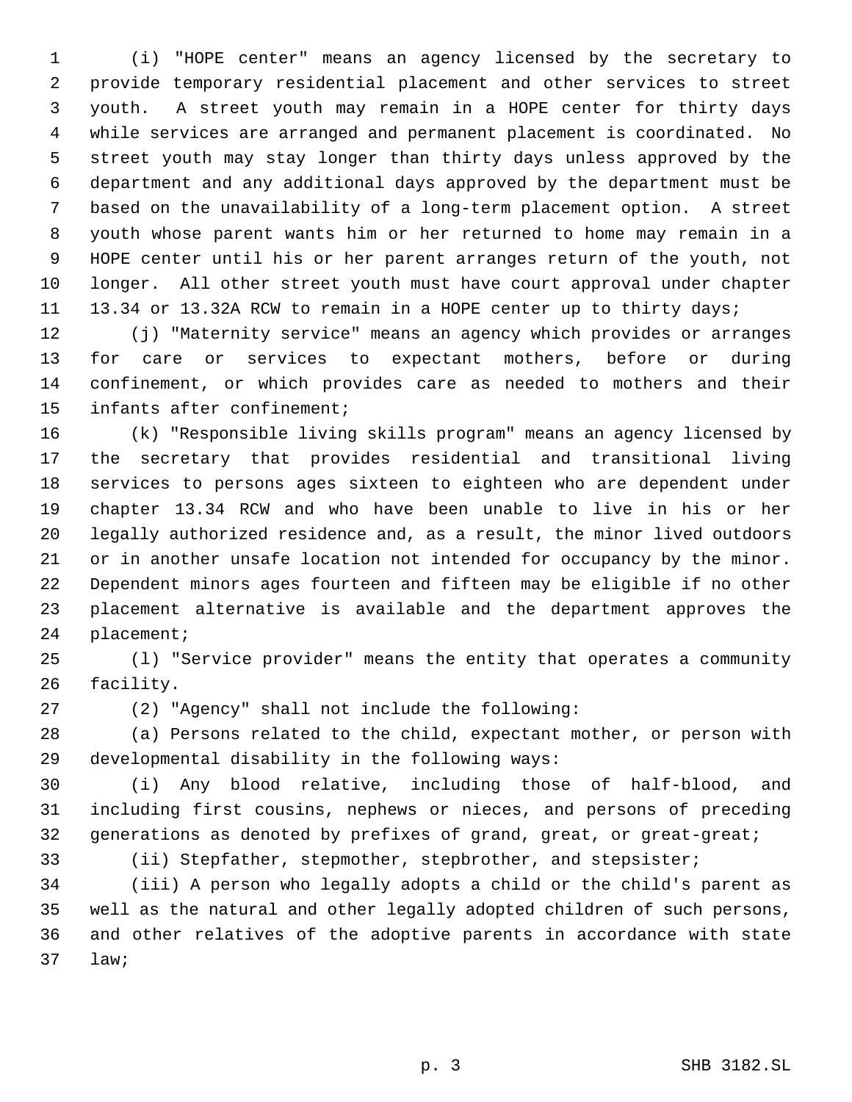(i) "HOPE center" means an agency licensed by the secretary to provide temporary residential placement and other services to street youth. A street youth may remain in a HOPE center for thirty days while services are arranged and permanent placement is coordinated. No street youth may stay longer than thirty days unless approved by the department and any additional days approved by the department must be based on the unavailability of a long-term placement option. A street youth whose parent wants him or her returned to home may remain in a HOPE center until his or her parent arranges return of the youth, not longer. All other street youth must have court approval under chapter 13.34 or 13.32A RCW to remain in a HOPE center up to thirty days;

 (j) "Maternity service" means an agency which provides or arranges for care or services to expectant mothers, before or during confinement, or which provides care as needed to mothers and their infants after confinement;

 (k) "Responsible living skills program" means an agency licensed by the secretary that provides residential and transitional living services to persons ages sixteen to eighteen who are dependent under chapter 13.34 RCW and who have been unable to live in his or her legally authorized residence and, as a result, the minor lived outdoors or in another unsafe location not intended for occupancy by the minor. Dependent minors ages fourteen and fifteen may be eligible if no other placement alternative is available and the department approves the placement;

 (l) "Service provider" means the entity that operates a community facility.

(2) "Agency" shall not include the following:

 (a) Persons related to the child, expectant mother, or person with developmental disability in the following ways:

 (i) Any blood relative, including those of half-blood, and including first cousins, nephews or nieces, and persons of preceding generations as denoted by prefixes of grand, great, or great-great;

(ii) Stepfather, stepmother, stepbrother, and stepsister;

 (iii) A person who legally adopts a child or the child's parent as well as the natural and other legally adopted children of such persons, and other relatives of the adoptive parents in accordance with state law;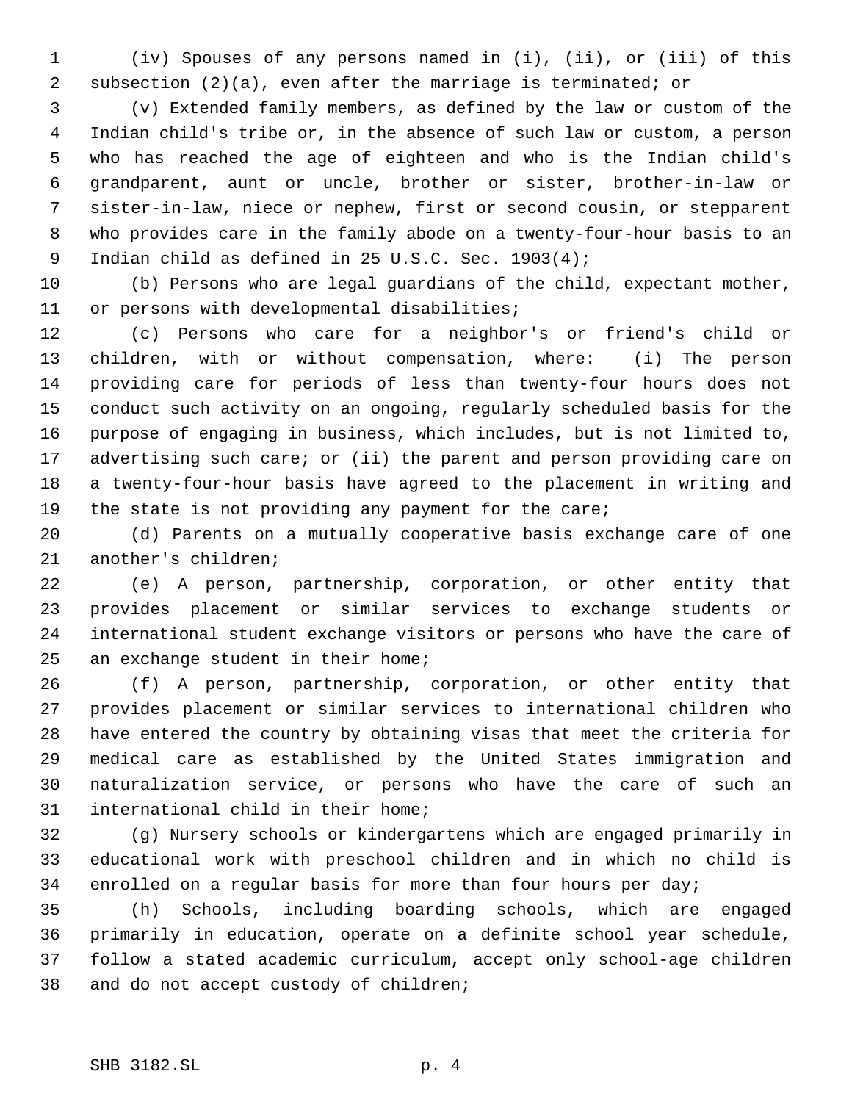(iv) Spouses of any persons named in (i), (ii), or (iii) of this subsection (2)(a), even after the marriage is terminated; or

 (v) Extended family members, as defined by the law or custom of the Indian child's tribe or, in the absence of such law or custom, a person who has reached the age of eighteen and who is the Indian child's grandparent, aunt or uncle, brother or sister, brother-in-law or sister-in-law, niece or nephew, first or second cousin, or stepparent who provides care in the family abode on a twenty-four-hour basis to an Indian child as defined in 25 U.S.C. Sec. 1903(4);

 (b) Persons who are legal guardians of the child, expectant mother, or persons with developmental disabilities;

 (c) Persons who care for a neighbor's or friend's child or children, with or without compensation, where: (i) The person providing care for periods of less than twenty-four hours does not conduct such activity on an ongoing, regularly scheduled basis for the purpose of engaging in business, which includes, but is not limited to, 17 advertising such care; or (ii) the parent and person providing care on a twenty-four-hour basis have agreed to the placement in writing and the state is not providing any payment for the care;

 (d) Parents on a mutually cooperative basis exchange care of one another's children;

 (e) A person, partnership, corporation, or other entity that provides placement or similar services to exchange students or international student exchange visitors or persons who have the care of an exchange student in their home;

 (f) A person, partnership, corporation, or other entity that provides placement or similar services to international children who have entered the country by obtaining visas that meet the criteria for medical care as established by the United States immigration and naturalization service, or persons who have the care of such an international child in their home;

 (g) Nursery schools or kindergartens which are engaged primarily in educational work with preschool children and in which no child is enrolled on a regular basis for more than four hours per day;

 (h) Schools, including boarding schools, which are engaged primarily in education, operate on a definite school year schedule, follow a stated academic curriculum, accept only school-age children and do not accept custody of children;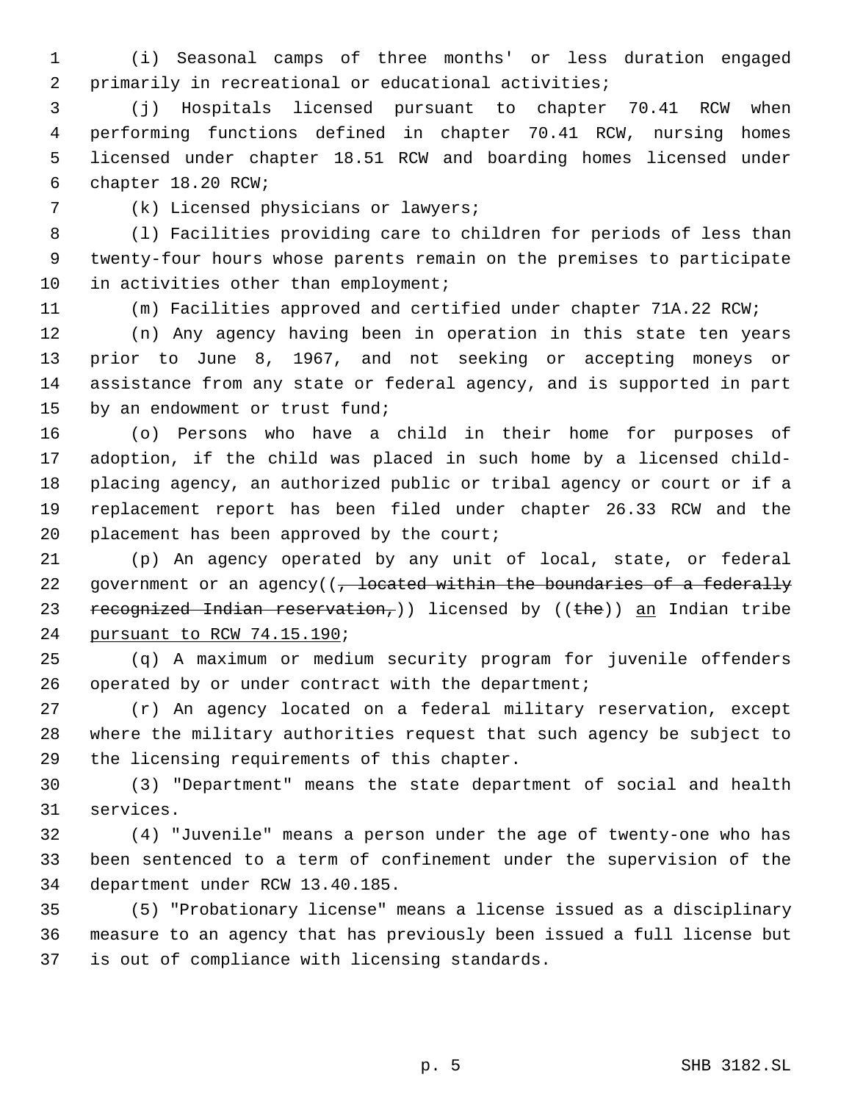(i) Seasonal camps of three months' or less duration engaged primarily in recreational or educational activities;

 (j) Hospitals licensed pursuant to chapter 70.41 RCW when performing functions defined in chapter 70.41 RCW, nursing homes licensed under chapter 18.51 RCW and boarding homes licensed under chapter 18.20 RCW;

(k) Licensed physicians or lawyers;

 (l) Facilities providing care to children for periods of less than twenty-four hours whose parents remain on the premises to participate 10 in activities other than employment;

(m) Facilities approved and certified under chapter 71A.22 RCW;

 (n) Any agency having been in operation in this state ten years prior to June 8, 1967, and not seeking or accepting moneys or assistance from any state or federal agency, and is supported in part by an endowment or trust fund;

 (o) Persons who have a child in their home for purposes of adoption, if the child was placed in such home by a licensed child- placing agency, an authorized public or tribal agency or court or if a replacement report has been filed under chapter 26.33 RCW and the 20 placement has been approved by the court;

 (p) An agency operated by any unit of local, state, or federal 22 government or an agency( $(-$  located within the boundaries of a federally 23 recognized Indian reservation, ) licensed by  $((the)$  an Indian tribe pursuant to RCW 74.15.190;

 (q) A maximum or medium security program for juvenile offenders operated by or under contract with the department;

 (r) An agency located on a federal military reservation, except where the military authorities request that such agency be subject to the licensing requirements of this chapter.

 (3) "Department" means the state department of social and health services.

 (4) "Juvenile" means a person under the age of twenty-one who has been sentenced to a term of confinement under the supervision of the department under RCW 13.40.185.

 (5) "Probationary license" means a license issued as a disciplinary measure to an agency that has previously been issued a full license but is out of compliance with licensing standards.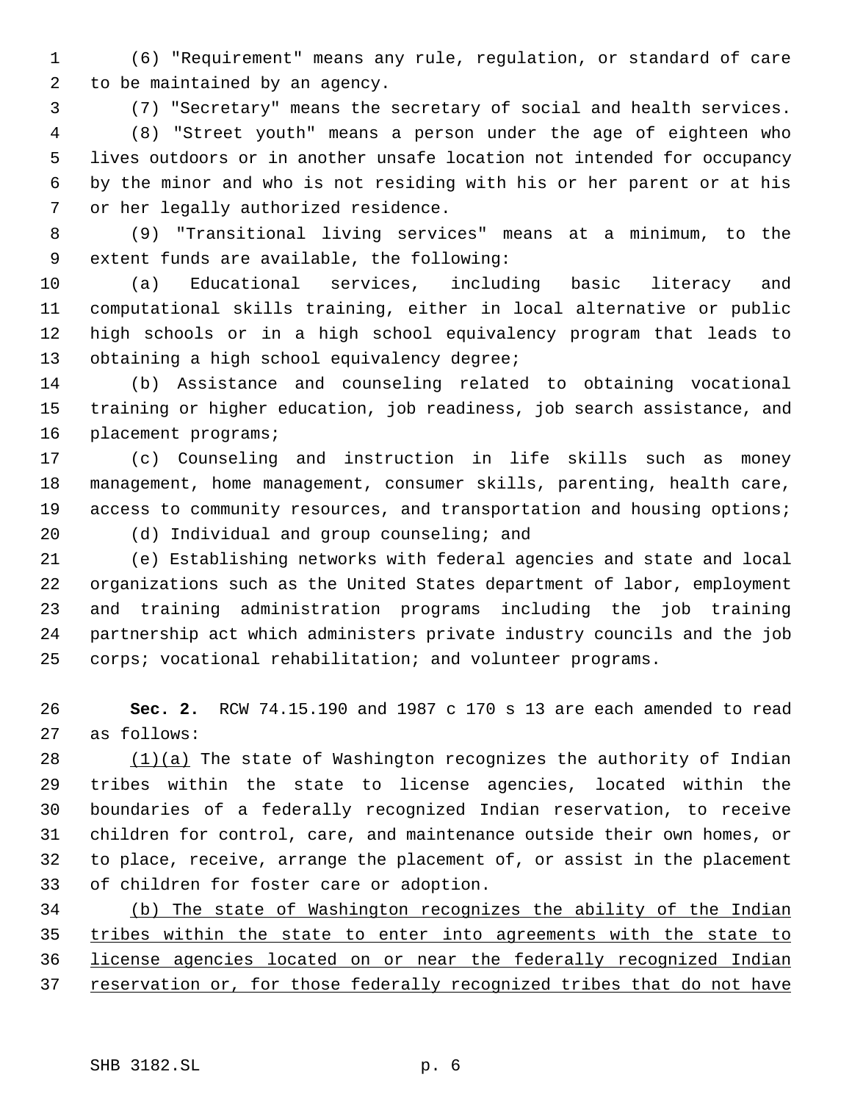(6) "Requirement" means any rule, regulation, or standard of care to be maintained by an agency.

(7) "Secretary" means the secretary of social and health services.

 (8) "Street youth" means a person under the age of eighteen who lives outdoors or in another unsafe location not intended for occupancy by the minor and who is not residing with his or her parent or at his or her legally authorized residence.

 (9) "Transitional living services" means at a minimum, to the extent funds are available, the following:

 (a) Educational services, including basic literacy and computational skills training, either in local alternative or public high schools or in a high school equivalency program that leads to 13 obtaining a high school equivalency degree;

 (b) Assistance and counseling related to obtaining vocational training or higher education, job readiness, job search assistance, and placement programs;

 (c) Counseling and instruction in life skills such as money management, home management, consumer skills, parenting, health care, 19 access to community resources, and transportation and housing options;

(d) Individual and group counseling; and

 (e) Establishing networks with federal agencies and state and local organizations such as the United States department of labor, employment and training administration programs including the job training partnership act which administers private industry councils and the job corps; vocational rehabilitation; and volunteer programs.

 **Sec. 2.** RCW 74.15.190 and 1987 c 170 s 13 are each amended to read as follows:

 (1)(a) The state of Washington recognizes the authority of Indian tribes within the state to license agencies, located within the boundaries of a federally recognized Indian reservation, to receive children for control, care, and maintenance outside their own homes, or to place, receive, arrange the placement of, or assist in the placement of children for foster care or adoption.

 (b) The state of Washington recognizes the ability of the Indian tribes within the state to enter into agreements with the state to license agencies located on or near the federally recognized Indian 37 reservation or, for those federally recognized tribes that do not have